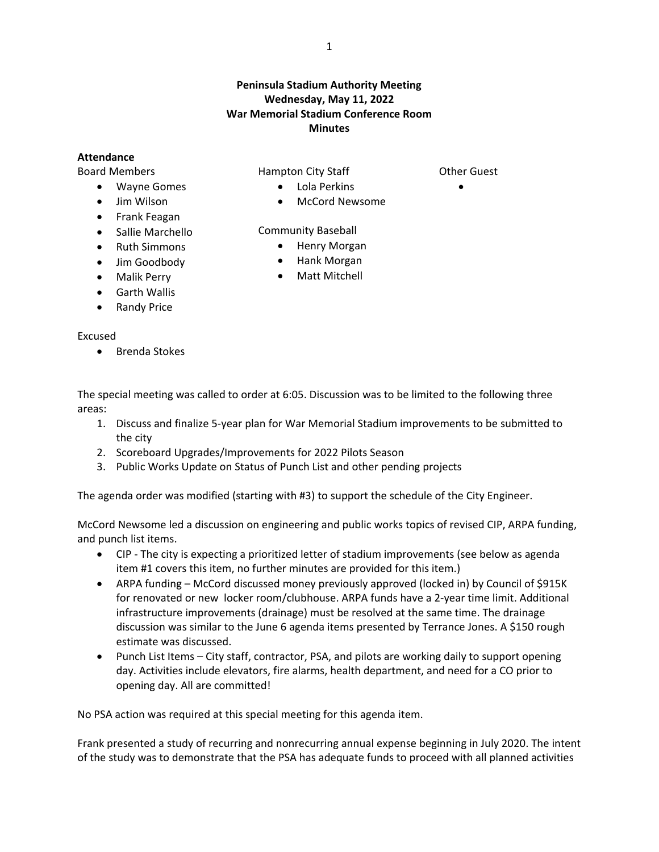## **Peninsula Stadium Authority Meeting Wednesday, May 11, 2022 War Memorial Stadium Conference Room Minutes**

## **Attendance**

Board Members

- Wayne Gomes
- Jim Wilson
- Frank Feagan
- Sallie Marchello
- Ruth Simmons
- **•** Jim Goodbody
- Malik Perry
- Garth Wallis
- Randy Price

## Excused

• Brenda Stokes

Hampton City Staff

- Other Guest  $\bullet$
- Lola Perkins
- McCord Newsome

Community Baseball

- Henry Morgan
- Hank Morgan
- Matt Mitchell

The special meeting was called to order at 6:05. Discussion was to be limited to the following three areas:

- 1. Discuss and finalize 5-year plan for War Memorial Stadium improvements to be submitted to the city
- 2. Scoreboard Upgrades/Improvements for 2022 Pilots Season
- 3. Public Works Update on Status of Punch List and other pending projects

The agenda order was modified (starting with #3) to support the schedule of the City Engineer.

McCord Newsome led a discussion on engineering and public works topics of revised CIP, ARPA funding, and punch list items.

- CIP The city is expecting a prioritized letter of stadium improvements (see below as agenda item #1 covers this item, no further minutes are provided for this item.)
- ARPA funding McCord discussed money previously approved (locked in) by Council of \$915K for renovated or new locker room/clubhouse. ARPA funds have a 2-year time limit. Additional infrastructure improvements (drainage) must be resolved at the same time. The drainage discussion was similar to the June 6 agenda items presented by Terrance Jones. A \$150 rough estimate was discussed.
- Punch List Items City staff, contractor, PSA, and pilots are working daily to support opening day. Activities include elevators, fire alarms, health department, and need for a CO prior to opening day. All are committed!

No PSA action was required at this special meeting for this agenda item.

Frank presented a study of recurring and nonrecurring annual expense beginning in July 2020. The intent of the study was to demonstrate that the PSA has adequate funds to proceed with all planned activities